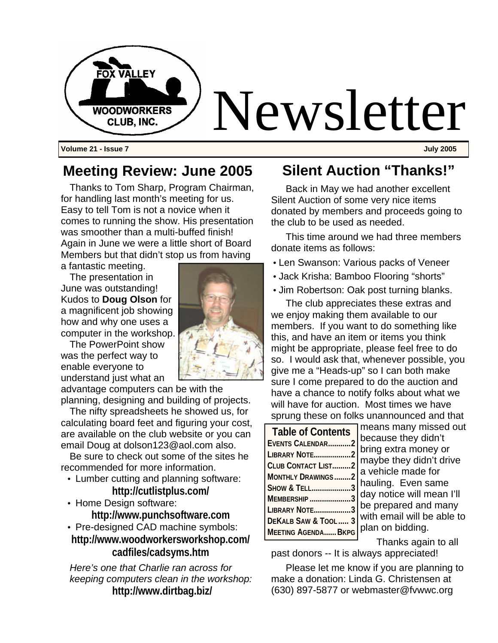

### **Meeting Review: June 2005**

Thanks to Tom Sharp, Program Chairman, for handling last month's meeting for us. Easy to tell Tom is not a novice when it comes to running the show. His presentation was smoother than a multi-buffed finish! Again in June we were a little short of Board Members but that didn't stop us from having a fantastic meeting.

The presentation in June was outstanding! Kudos to **Doug Olson** for a magnificent job showing how and why one uses a computer in the workshop.

The PowerPoint show was the perfect way to enable everyone to understand just what an

advantage computers can be with the planning, designing and building of projects.

The nifty spreadsheets he showed us, for calculating board feet and figuring your cost, are available on the club website or you can email Doug at dolson123@aol.com also.

Be sure to check out some of the sites he recommended for more information.

- Lumber cutting and planning software: **http://cutlistplus.com/**
- Home Design software: **http://www.punchsoftware.com**
- Pre-designed CAD machine symbols: **http://www.woodworkersworkshop.com/ cadfiles/cadsyms.htm**

*Here's one that Charlie ran across for keeping computers clean in the workshop:* **http://www.dirtbag.biz/**

### **Silent Auction "Thanks!"**

Back in May we had another excellent Silent Auction of some very nice items donated by members and proceeds going to the club to be used as needed.

This time around we had three members donate items as follows:

- Len Swanson: Various packs of Veneer
- Jack Krisha: Bamboo Flooring "shorts"
- Jim Robertson: Oak post turning blanks.

The club appreciates these extras and we enjoy making them available to our members. If you want to do something like this, and have an item or items you think might be appropriate, please feel free to do so. I would ask that, whenever possible, you give me a "Heads-up" so I can both make sure I come prepared to do the auction and have a chance to notify folks about what we will have for auction. Most times we have sprung these on folks unannounced and that

| <b>Table of Contents</b>        | ı<br>I                   |
|---------------------------------|--------------------------|
| EVENTS CALENDAR2                | j                        |
| LIBRARY NOTE2                   |                          |
| CLUB CONTACT LIST2              | ľ                        |
| <b>MONTHLY DRAWINGS2</b>        | ة<br>ا                   |
| SHOW & TELL3                    |                          |
| MEMBERSHIP 3                    | $\overline{\phantom{a}}$ |
| LIBRARY NOTE3                   | ļ                        |
| DEKALB SAW & TOOL  3            | $\overline{\phantom{a}}$ |
| <mark>Meeting AgendaBkpg</mark> |                          |

means many missed out because they didn't bring extra money or maybe they didn't drive a vehicle made for hauling. Even same day notice will mean I'll be prepared and many with email will be able to plan on bidding.

 Thanks again to all past donors -- It is always appreciated!

Please let me know if you are planning to make a donation: Linda G. Christensen at (630) 897-5877 or webmaster@fvwwc.org

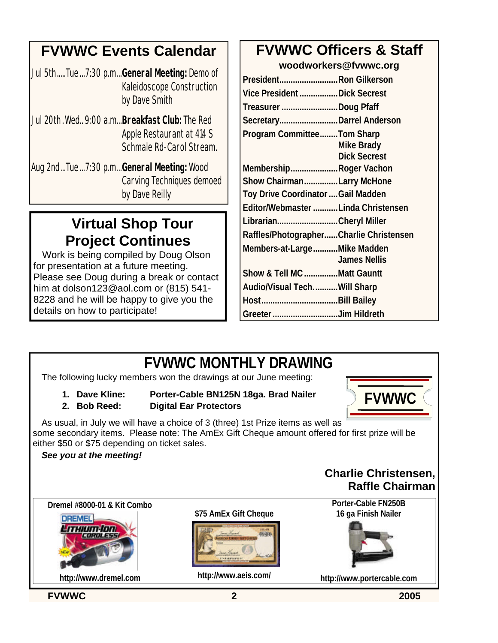## **FVWWC Events Calendar**

Jul 5th.....Tue...7:30 p.m...**General Meeting:** Demo of Kaleidoscope Construction by Dave Smith

- Jul 20th.Wed.. 9:00 a.m...**Breakfast Club:** The Red Apple Restaurant at 414 S Schmale Rd-Carol Stream.
- Aug 2nd...Tue...7:30 p.m...**General Meeting:** Wood Carving Techniques demoed by Dave Reilly

# **Virtual Shop Tour Project Continues**

Work is being compiled by Doug Olson for presentation at a future meeting. Please see Doug during a break or contact him at dolson123@aol.com or (815) 541- 8228 and he will be happy to give you the details on how to participate!

## **FVWWC Officers & Staff**

**woodworkers@fvwwc.org**

| President Ron Gilkerson                   |                     |
|-------------------------------------------|---------------------|
| Vice President Dick Secrest               |                     |
| Treasurer Doug Pfaff                      |                     |
| SecretaryDarrel Anderson                  |                     |
| <b>Program CommitteeTom Sharp</b>         |                     |
|                                           | <b>Mike Brady</b>   |
|                                           | <b>Dick Secrest</b> |
| MembershipRoger Vachon                    |                     |
| Show ChairmanLarry McHone                 |                     |
| <b>Toy Drive Coordinator  Gail Madden</b> |                     |
| Editor/Webmaster Linda Christensen        |                     |
| LibrarianCheryl Miller                    |                     |
| Raffles/PhotographerCharlie Christensen   |                     |
| Members-at-LargeMike Madden               |                     |
|                                           | <b>James Nellis</b> |
| Show & Tell MC Matt Gauntt                |                     |
| Audio/Visual TechWill Sharp               |                     |
|                                           |                     |
| Greeter Jim Hildreth                      |                     |

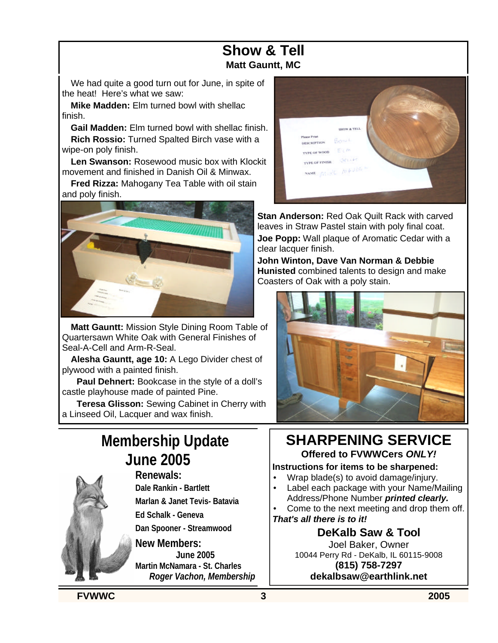#### **Show & Tell Matt Gauntt, MC**

We had quite a good turn out for June, in spite of the heat! Here's what we saw:

**Mike Madden:** Elm turned bowl with shellac finish.

**Gail Madden:** Elm turned bowl with shellac finish. **Rich Rossio:** Turned Spalted Birch vase with a wipe-on poly finish.

**Len Swanson:** Rosewood music box with Klockit movement and finished in Danish Oil & Minwax.

**Fred Rizza:** Mahogany Tea Table with oil stain and poly finish.



**Matt Gauntt:** Mission Style Dining Room Table of Quartersawn White Oak with General Finishes of Seal-A-Cell and Arm-R-Seal.

**Alesha Gauntt, age 10:** A Lego Divider chest of plywood with a painted finish.

**Paul Dehnert:** Bookcase in the style of a doll's castle playhouse made of painted Pine.

**Teresa Glisson:** Sewing Cabinet in Cherry with a Linseed Oil, Lacquer and wax finish.

# **Membership Update June 2005**



**Renewals: Dale Rankin - Bartlett Marlan & Janet Tevis- Batavia**

**Ed Schalk - Geneva**

**Dan Spooner - Streamwood**

**New Members: June 2005 Martin McNamara - St. Charles** *Roger Vachon, Membership*



**Stan Anderson: Red Oak Quilt Rack with carved** leaves in Straw Pastel stain with poly final coat. **Joe Popp:** Wall plaque of Aromatic Cedar with a clear lacquer finish.

**John Winton, Dave Van Norman & Debbie Hunisted** combined talents to design and make Coasters of Oak with a poly stain.



# **SHARPENING SERVICE**

**Offered to FVWWCers** *ONLY!*

#### **Instructions for items to be sharpened:**

- Wrap blade(s) to avoid damage/injury.
- Label each package with your Name/Mailing Address/Phone Number *printed clearly.*
- Come to the next meeting and drop them off.

#### *That's all there is to it!*

**DeKalb Saw & Tool**

Joel Baker, Owner 10044 Perry Rd - DeKalb, IL 60115-9008 **(815) 758-7297 dekalbsaw@earthlink.net**

**FVWWC 3 2005**